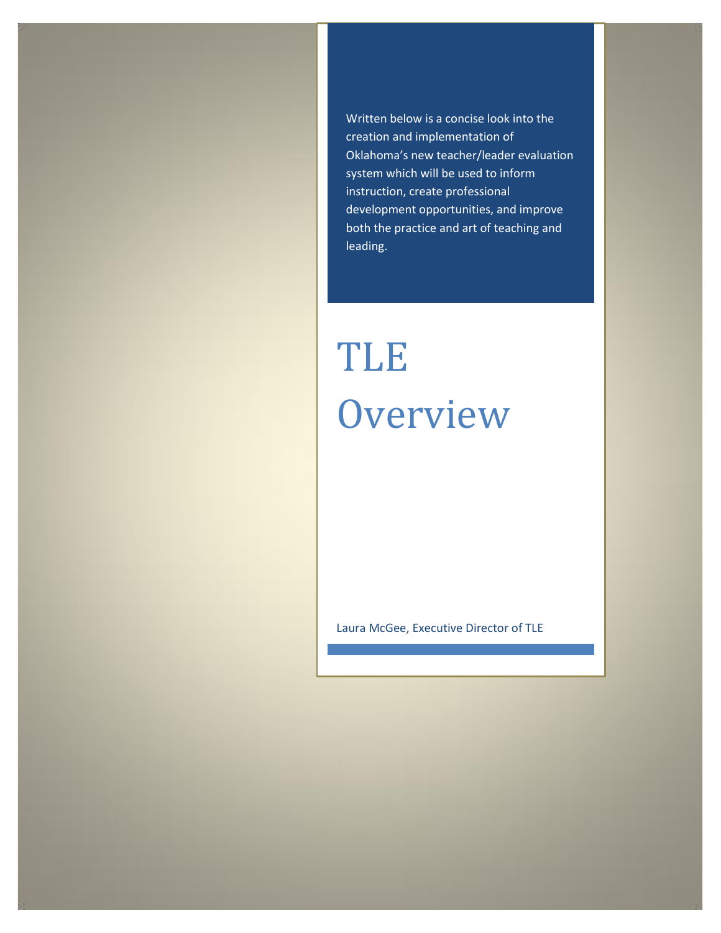Written below is a concise look into the creation and implementation of Oklahoma's new teacher/leader evaluation system which will be used to inform instruction, create professional development opportunities, and improve both the practice and art of teaching and leading.

# TLE **Overview**

Laura McGee, Executive Director of TLE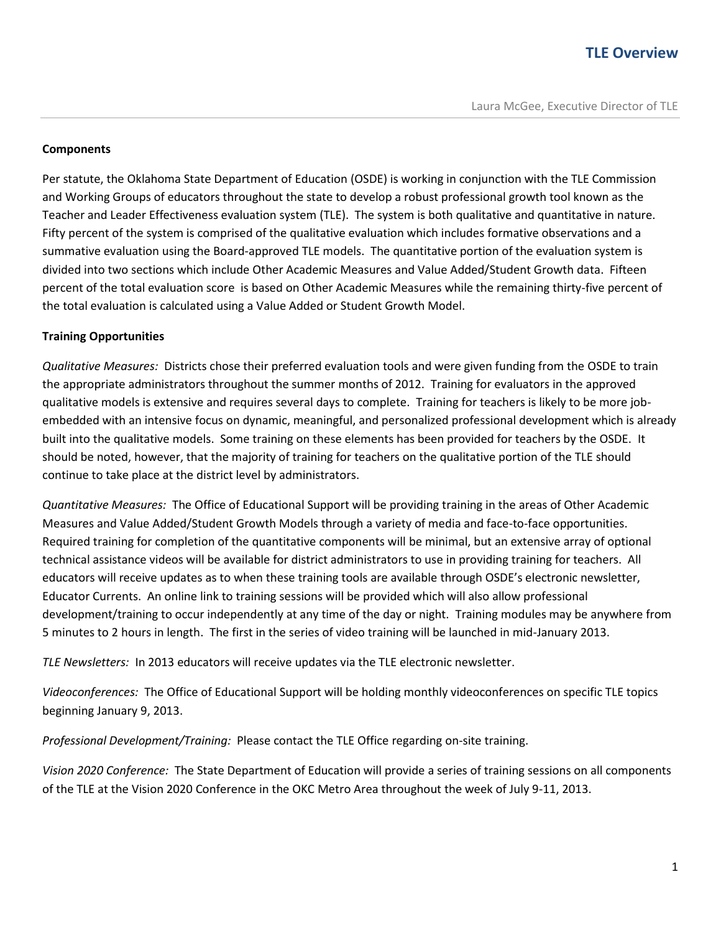#### **Components**

Per statute, the Oklahoma State Department of Education (OSDE) is working in conjunction with the TLE Commission and Working Groups of educators throughout the state to develop a robust professional growth tool known as the Teacher and Leader Effectiveness evaluation system (TLE). The system is both qualitative and quantitative in nature. Fifty percent of the system is comprised of the qualitative evaluation which includes formative observations and a summative evaluation using the Board-approved TLE models. The quantitative portion of the evaluation system is divided into two sections which include Other Academic Measures and Value Added/Student Growth data. Fifteen percent of the total evaluation score is based on Other Academic Measures while the remaining thirty-five percent of the total evaluation is calculated using a Value Added or Student Growth Model.

#### **Training Opportunities**

*Qualitative Measures:* Districts chose their preferred evaluation tools and were given funding from the OSDE to train the appropriate administrators throughout the summer months of 2012. Training for evaluators in the approved qualitative models is extensive and requires several days to complete. Training for teachers is likely to be more jobembedded with an intensive focus on dynamic, meaningful, and personalized professional development which is already built into the qualitative models. Some training on these elements has been provided for teachers by the OSDE. It should be noted, however, that the majority of training for teachers on the qualitative portion of the TLE should continue to take place at the district level by administrators.

*Quantitative Measures:* The Office of Educational Support will be providing training in the areas of Other Academic Measures and Value Added/Student Growth Models through a variety of media and face-to-face opportunities. Required training for completion of the quantitative components will be minimal, but an extensive array of optional technical assistance videos will be available for district administrators to use in providing training for teachers. All educators will receive updates as to when these training tools are available through OSDE's electronic newsletter, Educator Currents. An online link to training sessions will be provided which will also allow professional development/training to occur independently at any time of the day or night. Training modules may be anywhere from 5 minutes to 2 hours in length. The first in the series of video training will be launched in mid-January 2013.

*TLE Newsletters:* In 2013 educators will receive updates via the TLE electronic newsletter.

*Videoconferences:* The Office of Educational Support will be holding monthly videoconferences on specific TLE topics beginning January 9, 2013.

*Professional Development/Training:* Please contact the TLE Office regarding on-site training.

*Vision 2020 Conference:* The State Department of Education will provide a series of training sessions on all components of the TLE at the Vision 2020 Conference in the OKC Metro Area throughout the week of July 9-11, 2013.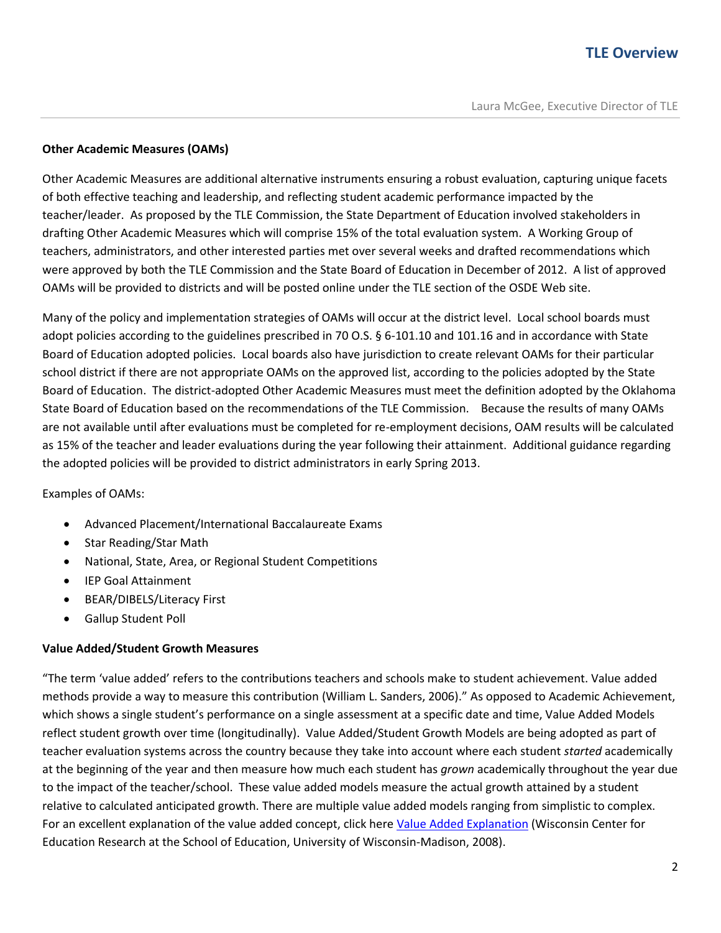### **Other Academic Measures (OAMs)**

Other Academic Measures are additional alternative instruments ensuring a robust evaluation, capturing unique facets of both effective teaching and leadership, and reflecting student academic performance impacted by the teacher/leader. As proposed by the TLE Commission, the State Department of Education involved stakeholders in drafting Other Academic Measures which will comprise 15% of the total evaluation system. A Working Group of teachers, administrators, and other interested parties met over several weeks and drafted recommendations which were approved by both the TLE Commission and the State Board of Education in December of 2012. A list of approved OAMs will be provided to districts and will be posted online under the TLE section of the OSDE Web site.

Many of the policy and implementation strategies of OAMs will occur at the district level. Local school boards must adopt policies according to the guidelines prescribed in 70 O.S. § 6-101.10 and 101.16 and in accordance with State Board of Education adopted policies. Local boards also have jurisdiction to create relevant OAMs for their particular school district if there are not appropriate OAMs on the approved list, according to the policies adopted by the State Board of Education. The district-adopted Other Academic Measures must meet the definition adopted by the Oklahoma State Board of Education based on the recommendations of the TLE Commission. Because the results of many OAMs are not available until after evaluations must be completed for re-employment decisions, OAM results will be calculated as 15% of the teacher and leader evaluations during the year following their attainment. Additional guidance regarding the adopted policies will be provided to district administrators in early Spring 2013.

Examples of OAMs:

- Advanced Placement/International Baccalaureate Exams
- Star Reading/Star Math
- National, State, Area, or Regional Student Competitions
- IEP Goal Attainment
- BEAR/DIBELS/Literacy First
- Gallup Student Poll

#### **Value Added/Student Growth Measures**

"The term 'value added' refers to the contributions teachers and schools make to student achievement. Value added methods provide a way to measure this contribution (William L. Sanders, 2006)." As opposed to Academic Achievement, which shows a single student's performance on a single assessment at a specific date and time, Value Added Models reflect student growth over time (longitudinally). Value Added/Student Growth Models are being adopted as part of teacher evaluation systems across the country because they take into account where each student *started* academically at the beginning of the year and then measure how much each student has *grown* academically throughout the year due to the impact of the teacher/school. These value added models measure the actual growth attained by a student relative to calculated anticipated growth. There are multiple value added models ranging from simplistic to complex. For an excellent explanation of the value added concept, click here [Value Added Explanation](http://varc.wceruw.org/tutorials/Oak/index.htm) (Wisconsin Center for Education Research at the School of Education, University of Wisconsin-Madison, 2008).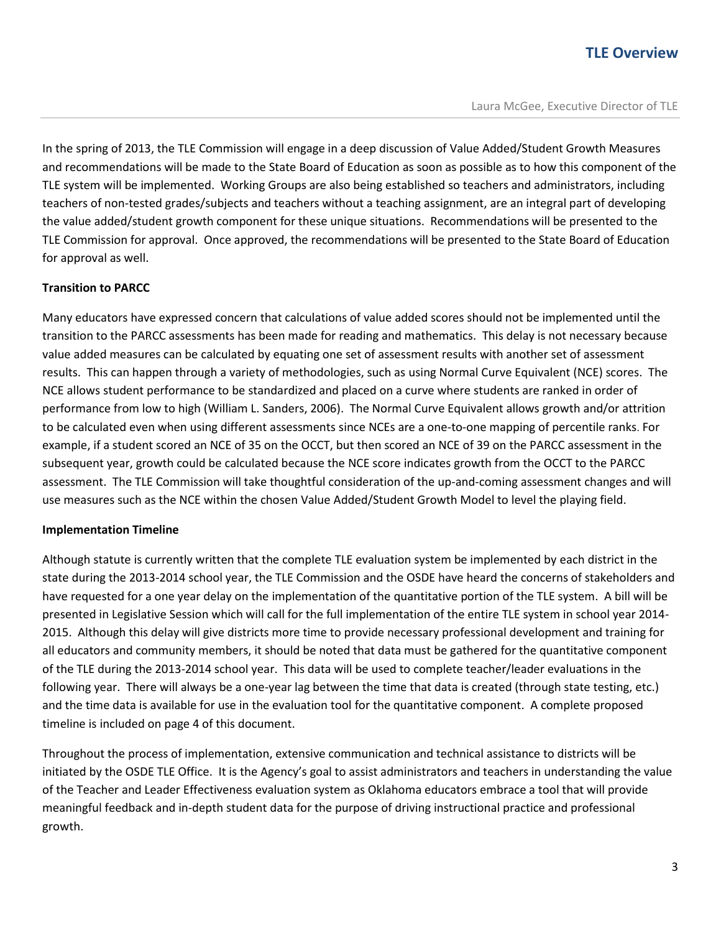In the spring of 2013, the TLE Commission will engage in a deep discussion of Value Added/Student Growth Measures and recommendations will be made to the State Board of Education as soon as possible as to how this component of the TLE system will be implemented. Working Groups are also being established so teachers and administrators, including teachers of non-tested grades/subjects and teachers without a teaching assignment, are an integral part of developing the value added/student growth component for these unique situations. Recommendations will be presented to the TLE Commission for approval. Once approved, the recommendations will be presented to the State Board of Education for approval as well.

#### **Transition to PARCC**

Many educators have expressed concern that calculations of value added scores should not be implemented until the transition to the PARCC assessments has been made for reading and mathematics. This delay is not necessary because value added measures can be calculated by equating one set of assessment results with another set of assessment results. This can happen through a variety of methodologies, such as using Normal Curve Equivalent (NCE) scores. The NCE allows student performance to be standardized and placed on a curve where students are ranked in order of performance from low to high (William L. Sanders, 2006). The Normal Curve Equivalent allows growth and/or attrition to be calculated even when using different assessments since NCEs are a one-to-one mapping of percentile ranks. For example, if a student scored an NCE of 35 on the OCCT, but then scored an NCE of 39 on the PARCC assessment in the subsequent year, growth could be calculated because the NCE score indicates growth from the OCCT to the PARCC assessment. The TLE Commission will take thoughtful consideration of the up-and-coming assessment changes and will use measures such as the NCE within the chosen Value Added/Student Growth Model to level the playing field.

#### **Implementation Timeline**

Although statute is currently written that the complete TLE evaluation system be implemented by each district in the state during the 2013-2014 school year, the TLE Commission and the OSDE have heard the concerns of stakeholders and have requested for a one year delay on the implementation of the quantitative portion of the TLE system. A bill will be presented in Legislative Session which will call for the full implementation of the entire TLE system in school year 2014- 2015. Although this delay will give districts more time to provide necessary professional development and training for all educators and community members, it should be noted that data must be gathered for the quantitative component of the TLE during the 2013-2014 school year. This data will be used to complete teacher/leader evaluations in the following year. There will always be a one-year lag between the time that data is created (through state testing, etc.) and the time data is available for use in the evaluation tool for the quantitative component. A complete proposed timeline is included on page 4 of this document.

Throughout the process of implementation, extensive communication and technical assistance to districts will be initiated by the OSDE TLE Office. It is the Agency's goal to assist administrators and teachers in understanding the value of the Teacher and Leader Effectiveness evaluation system as Oklahoma educators embrace a tool that will provide meaningful feedback and in-depth student data for the purpose of driving instructional practice and professional growth.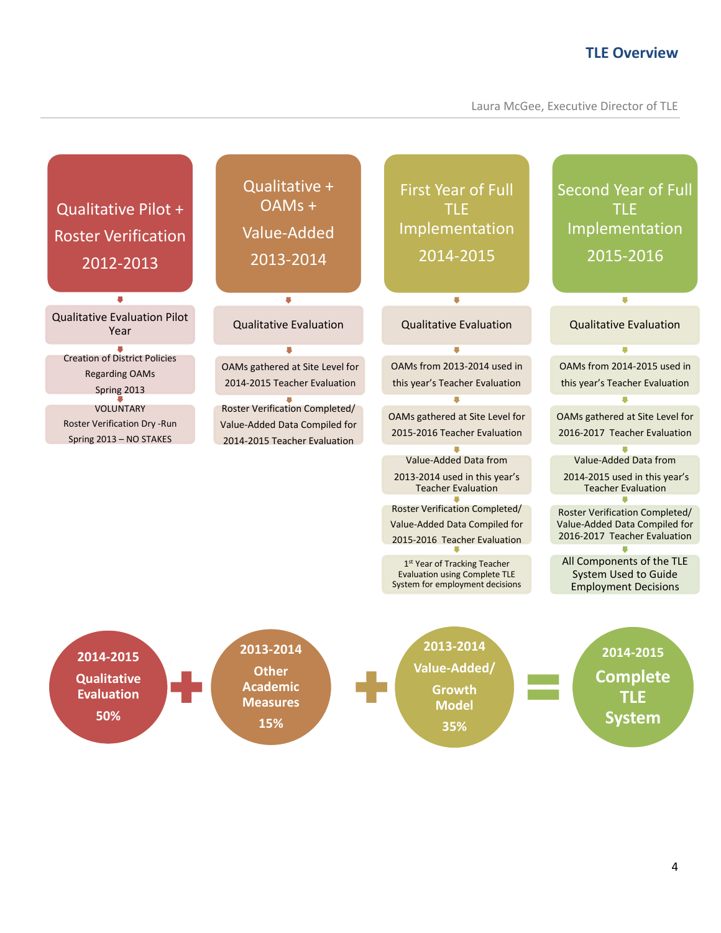Laura McGee, Executive Director of TLE